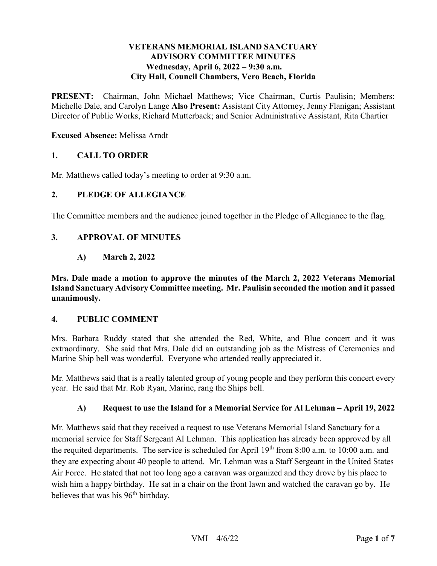### **VETERANS MEMORIAL ISLAND SANCTUARY ADVISORY COMMITTEE MINUTES**  Wednesday, April 6, 2022 – 9:30 a.m. **City Hall, Council Chambers, Vero Beach, Florida**

PRESENT: Chairman, John Michael Matthews; Vice Chairman, Curtis Paulisin; Members: Michelle Dale, and Carolyn Lange **Also Present:** Assistant City Attorney, Jenny Flanigan; Assistant Director of Public Works, Richard Mutterback; and Senior Administrative Assistant, Rita Chartier

### **Excused Absence:** Melissa Arndt

### **1. CALL TO ORDER**

Mr. Matthews called today's meeting to order at 9:30 a.m.

#### **2. PLEDGE OF ALLEGIANCE**

The Committee members and the audience joined together in the Pledge of Allegiance to the flag.

### **3. APPROVAL OF MINUTES**

 **A) March 2, 2022** 

**Mrs. Dale made a motion to approve the minutes of the March 2, 2022 Veterans Memorial Island Sanctuary Advisory Committee meeting. Mr. Paulisin seconded the motion and it passed unanimously.** 

#### **4. PUBLIC COMMENT**

 extraordinary. She said that Mrs. Dale did an outstanding job as the Mistress of Ceremonies and Marine Ship bell was wonderful. Everyone who attended really appreciated it. Mrs. Barbara Ruddy stated that she attended the Red, White, and Blue concert and it was

Mr. Matthews said that is a really talented group of young people and they perform this concert every year. He said that Mr. Rob Ryan, Marine, rang the Ships bell.

#### **A) Request to use the Island for a Memorial Service for Al Lehman – April 19, 2022**

 memorial service for Staff Sergeant Al Lehman. This application has already been approved by all believes that was his 96<sup>th</sup> birthday. Mr. Matthews said that they received a request to use Veterans Memorial Island Sanctuary for a the requited departments. The service is scheduled for April  $19<sup>th</sup>$  from 8:00 a.m. to 10:00 a.m. and they are expecting about 40 people to attend. Mr. Lehman was a Staff Sergeant in the United States Air Force. He stated that not too long ago a caravan was organized and they drove by his place to wish him a happy birthday. He sat in a chair on the front lawn and watched the caravan go by. He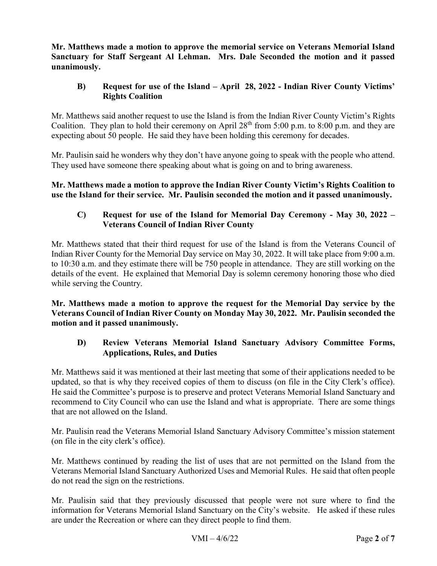**Mr. Matthews made a motion to approve the memorial service on Veterans Memorial Island**  unanimously. **Sanctuary for Staff Sergeant Al Lehman. Mrs. Dale Seconded the motion and it passed** 

## **unanimously. B) Request for use of the Island – April 28, 2022 - Indian River County Victims' Rights Coalition**

Coalition. They plan to hold their ceremony on April  $28<sup>th</sup>$  from 5:00 p.m. to 8:00 p.m. and they are expecting about 50 people. He said they have been holding this ceremony for decades. Mr. Matthews said another request to use the Island is from the Indian River County Victim's Rights

 Mr. Paulisin said he wonders why they don't have anyone going to speak with the people who attend. They used have someone there speaking about what is going on and to bring awareness.

 **use the Island for their service. Mr. Paulisin seconded the motion and it passed unanimously. Mr. Matthews made a motion to approve the Indian River County Victim's Rights Coalition to** 

# **C) Request for use of the Island for Memorial Day Ceremony - May 30, 2022 – Veterans Council of Indian River County**

 Mr. Matthews stated that their third request for use of the Island is from the Veterans Council of Indian River County for the Memorial Day service on May 30, 2022. It will take place from 9:00 a.m. to 10:30 a.m. and they estimate there will be 750 people in attendance. They are still working on the details of the event. He explained that Memorial Day is solemn ceremony honoring those who died while serving the Country.

 **Mr. Matthews made a motion to approve the request for the Memorial Day service by the Veterans Council of Indian River County on Monday May 30, 2022. Mr. Paulisin seconded the motion and it passed unanimously.** 

## **Applications, Rules, and Duties D) Review Veterans Memorial Island Sanctuary Advisory Committee Forms,**

 that are not allowed on the Island. Mr. Matthews said it was mentioned at their last meeting that some of their applications needed to be updated, so that is why they received copies of them to discuss (on file in the City Clerk's office). He said the Committee's purpose is to preserve and protect Veterans Memorial Island Sanctuary and recommend to City Council who can use the Island and what is appropriate. There are some things

Mr. Paulisin read the Veterans Memorial Island Sanctuary Advisory Committee's mission statement (on file in the city clerk's office).

 Veterans Memorial Island Sanctuary Authorized Uses and Memorial Rules. He said that often people Mr. Matthews continued by reading the list of uses that are not permitted on the Island from the do not read the sign on the restrictions.

Mr. Paulisin said that they previously discussed that people were not sure where to find the information for Veterans Memorial Island Sanctuary on the City's website. He asked if these rules are under the Recreation or where can they direct people to find them.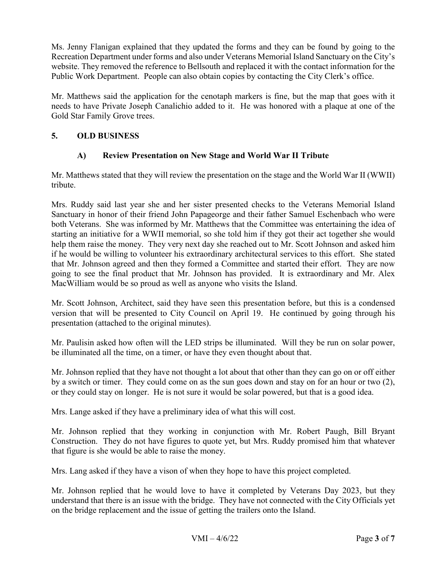Ms. Jenny Flanigan explained that they updated the forms and they can be found by going to the Recreation Department under forms and also under Veterans Memorial Island Sanctuary on the City's Public Work Department. People can also obtain copies by contacting the City Clerk's office. website. They removed the reference to Bellsouth and replaced it with the contact information for the

 Gold Star Family Grove trees. Mr. Matthews said the application for the cenotaph markers is fine, but the map that goes with it needs to have Private Joseph Canalichio added to it. He was honored with a plaque at one of the

## **5. OLD BUSINESS**

## **A) Review Presentation on New Stage and World War II Tribute**

 Mr. Matthews stated that they will review the presentation on the stage and the World War II (WWII) tribute.

tribute.<br>Mrs. Ruddy said last year she and her sister presented checks to the Veterans Memorial Island if he would be willing to volunteer his extraordinary architectural services to this effort. She stated that Mr. Johnson agreed and then they formed a Committee and started their effort. They are now MacWilliam would be so proud as well as anyone who visits the Island. Sanctuary in honor of their friend John Papageorge and their father Samuel Eschenbach who were both Veterans. She was informed by Mr. Matthews that the Committee was entertaining the idea of starting an initiative for a WWII memorial, so she told him if they got their act together she would help them raise the money. They very next day she reached out to Mr. Scott Johnson and asked him going to see the final product that Mr. Johnson has provided. It is extraordinary and Mr. Alex

Mr. Scott Johnson, Architect, said they have seen this presentation before, but this is a condensed version that will be presented to City Council on April 19. He continued by going through his presentation (attached to the original minutes).

 Mr. Paulisin asked how often will the LED strips be illuminated. Will they be run on solar power, be illuminated all the time, on a timer, or have they even thought about that.

be illuminated all the time, on a timer, or have they even thought about that.<br>Mr. Johnson replied that they have not thought a lot about that other than they can go on or off either by a switch or timer. They could come on as the sun goes down and stay on for an hour or two (2), or they could stay on longer. He is not sure it would be solar powered, but that is a good idea.

Mrs. Lange asked if they have a preliminary idea of what this will cost.

Mrs. Lange asked if they have a preliminary idea of what this will cost.<br>Mr. Johnson replied that they working in conjunction with Mr. Robert Paugh, Bill Bryant Construction. They do not have figures to quote yet, but Mrs. Ruddy promised him that whatever that figure is she would be able to raise the money.

Mrs. Lang asked if they have a vison of when they hope to have this project completed.

 Mr. Johnson replied that he would love to have it completed by Veterans Day 2023, but they understand that there is an issue with the bridge. They have not connected with the City Officials yet on the bridge replacement and the issue of getting the trailers onto the Island.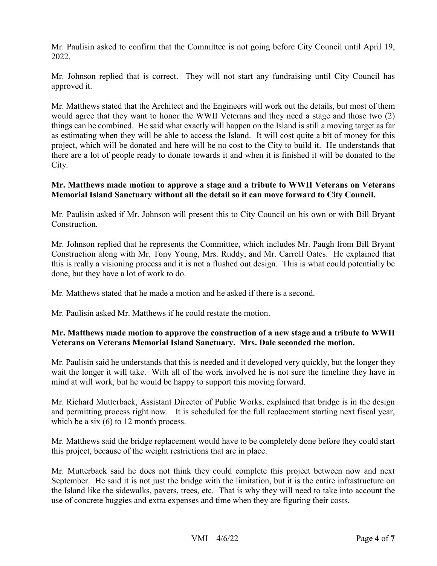Mr. Paulisin asked to confirm that the Committee is not going before City Council until April 19, 2022.

Mr. Johnson replied that is correct. They will not start any fundraising until City Council has approved it.

 would agree that they want to honor the WWII Veterans and they need a stage and those two (2) things can be combined. He said what exactly will happen on the Island is still a moving target as far as estimating when they will be able to access the Island. It will cost quite a bit of money for this Mr. Matthews stated that the Architect and the Engineers will work out the details, but most of them project, which will be donated and here will be no cost to the City to build it. He understands that there are a lot of people ready to donate towards it and when it is finished it will be donated to the City.

## **Mr. Matthews made motion to approve a stage and a tribute to WWII Veterans on Veterans Memorial Island Sanctuary without all the detail so it can move forward to City Council.**

Mr. Paulisin asked if Mr. Johnson will present this to City Council on his own or with Bill Bryant Construction.

 this is really a visioning process and it is not a flushed out design. This is what could potentially be Mr. Johnson replied that he represents the Committee, which includes Mr. Paugh from Bill Bryant Construction along with Mr. Tony Young, Mrs. Ruddy, and Mr. Carroll Oates. He explained that done, but they have a lot of work to do.

Mr. Matthews stated that he made a motion and he asked if there is a second.

Mr. Paulisin asked Mr. Matthews if he could restate the motion.

### **Mr. Matthews made motion to approve the construction of a new stage and a tribute to WWII Veterans on Veterans Memorial Island Sanctuary. Mrs. Dale seconded the motion.**

 wait the longer it will take. With all of the work involved he is not sure the timeline they have in Mr. Paulisin said he understands that this is needed and it developed very quickly, but the longer they mind at will work, but he would be happy to support this moving forward.

Mr. Richard Mutterback, Assistant Director of Public Works, explained that bridge is in the design and permitting process right now. It is scheduled for the full replacement starting next fiscal year, which be a six (6) to 12 month process.

 Mr. Matthews said the bridge replacement would have to be completely done before they could start this project, because of the weight restrictions that are in place.

 September. He said it is not just the bridge with the limitation, but it is the entire infrastructure on the Island like the sidewalks, pavers, trees, etc. That is why they will need to take into account the use of concrete buggies and extra expenses and time when they are figuring their costs. Mr. Mutterback said he does not think they could complete this project between now and next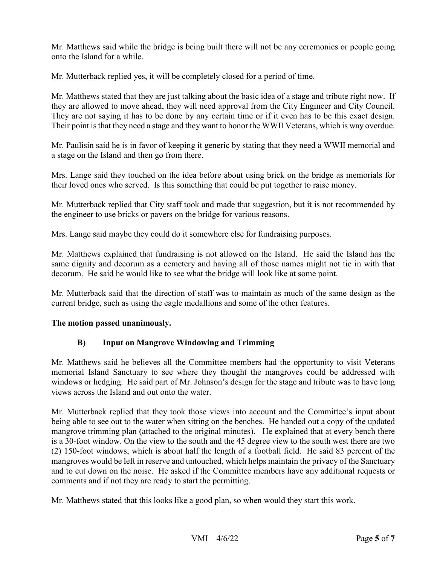onto the Island for a while. Mr. Matthews said while the bridge is being built there will not be any ceremonies or people going

Mr. Mutterback replied yes, it will be completely closed for a period of time.

 Mr. Matthews stated that they are just talking about the basic idea of a stage and tribute right now. If they are allowed to move ahead, they will need approval from the City Engineer and City Council. They are not saying it has to be done by any certain time or if it even has to be this exact design. Their point is that they need a stage and they want to honor the WWII Veterans, which is way overdue.

 Mr. Paulisin said he is in favor of keeping it generic by stating that they need a WWII memorial and a stage on the Island and then go from there.

 Mrs. Lange said they touched on the idea before about using brick on the bridge as memorials for their loved ones who served. Is this something that could be put together to raise money.

 Mr. Mutterback replied that City staff took and made that suggestion, but it is not recommended by the engineer to use bricks or pavers on the bridge for various reasons.

Mrs. Lange said maybe they could do it somewhere else for fundraising purposes.

 Mr. Matthews explained that fundraising is not allowed on the Island. He said the Island has the same dignity and decorum as a cemetery and having all of those names might not tie in with that decorum. He said he would like to see what the bridge will look like at some point.

 current bridge, such as using the eagle medallions and some of the other features. Mr. Mutterback said that the direction of staff was to maintain as much of the same design as the

#### **The motion passed unanimously.**

### **B) Input on Mangrove Windowing and Trimming**

 memorial Island Sanctuary to see where they thought the mangroves could be addressed with views across the Island and out onto the water. Mr. Matthews said he believes all the Committee members had the opportunity to visit Veterans windows or hedging. He said part of Mr. Johnson's design for the stage and tribute was to have long

 mangrove trimming plan (attached to the original minutes). He explained that at every bench there and to cut down on the noise. He asked if the Committee members have any additional requests or Mr. Mutterback replied that they took those views into account and the Committee's input about being able to see out to the water when sitting on the benches. He handed out a copy of the updated is a 30-foot window. On the view to the south and the 45 degree view to the south west there are two (2) 150-foot windows, which is about half the length of a football field. He said 83 percent of the mangroves would be left in reserve and untouched, which helps maintain the privacy of the Sanctuary comments and if not they are ready to start the permitting.

Mr. Matthews stated that this looks like a good plan, so when would they start this work.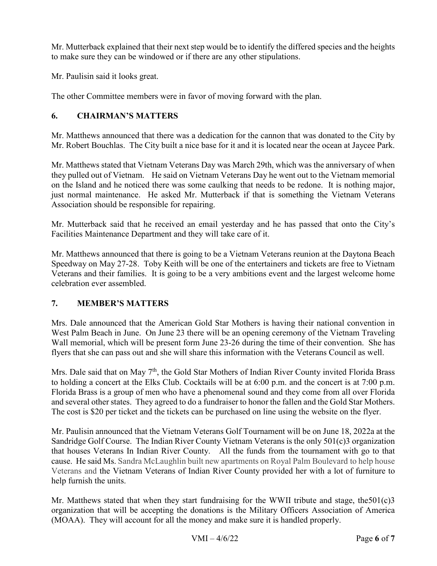to make sure they can be windowed or if there are any other stipulations. Mr. Mutterback explained that their next step would be to identify the differed species and the heights

Mr. Paulisin said it looks great.

The other Committee members were in favor of moving forward with the plan.

# **6. CHAIRMAN'S MATTERS**

Mr. Robert Bouchlas. The City built a nice base for it and it is located near the ocean at Jaycee Park. Mr. Matthews announced that there was a dedication for the cannon that was donated to the City by

 they pulled out of Vietnam. He said on Vietnam Veterans Day he went out to the Vietnam memorial Mr. Matthews stated that Vietnam Veterans Day was March 29th, which was the anniversary of when on the Island and he noticed there was some caulking that needs to be redone. It is nothing major, just normal maintenance. He asked Mr. Mutterback if that is something the Vietnam Veterans Association should be responsible for repairing.

 Mr. Mutterback said that he received an email yesterday and he has passed that onto the City's Facilities Maintenance Department and they will take care of it.

 Mr. Matthews announced that there is going to be a Vietnam Veterans reunion at the Daytona Beach Veterans and their families. It is going to be a very ambitions event and the largest welcome home celebration ever assembled. Speedway on May 27-28. Toby Keith will be one of the entertainers and tickets are free to Vietnam

# **7. MEMBER'S MATTERS**

 Mrs. Dale announced that the American Gold Star Mothers is having their national convention in West Palm Beach in June. On June 23 there will be an opening ceremony of the Vietnam Traveling flyers that she can pass out and she will share this information with the Veterans Council as well. Wall memorial, which will be present form June 23-26 during the time of their convention. She has

Mrs. Dale said that on May 7<sup>th</sup>, the Gold Star Mothers of Indian River County invited Florida Brass Florida Brass is a group of men who have a phenomenal sound and they come from all over Florida and several other states. They agreed to do a fundraiser to honor the fallen and the Gold Star Mothers. to holding a concert at the Elks Club. Cocktails will be at 6:00 p.m. and the concert is at 7:00 p.m. The cost is \$20 per ticket and the tickets can be purchased on line using the website on the flyer.

 that houses Veterans In Indian River County. All the funds from the tournament with go to that cause. He said Ms. Sandra McLaughlin built new apartments on Royal Palm Boulevard to help house Mr. Paulisin announced that the Vietnam Veterans Golf Tournament will be on June 18, 2022a at the Sandridge Golf Course. The Indian River County Vietnam Veterans is the only 501(c)3 organization Veterans and the Vietnam Veterans of Indian River County provided her with a lot of furniture to help furnish the units.

Mr. Matthews stated that when they start fundraising for the WWII tribute and stage, the  $501(c)3$ organization that will be accepting the donations is the Military Officers Association of America (MOAA). They will account for all the money and make sure it is handled properly.